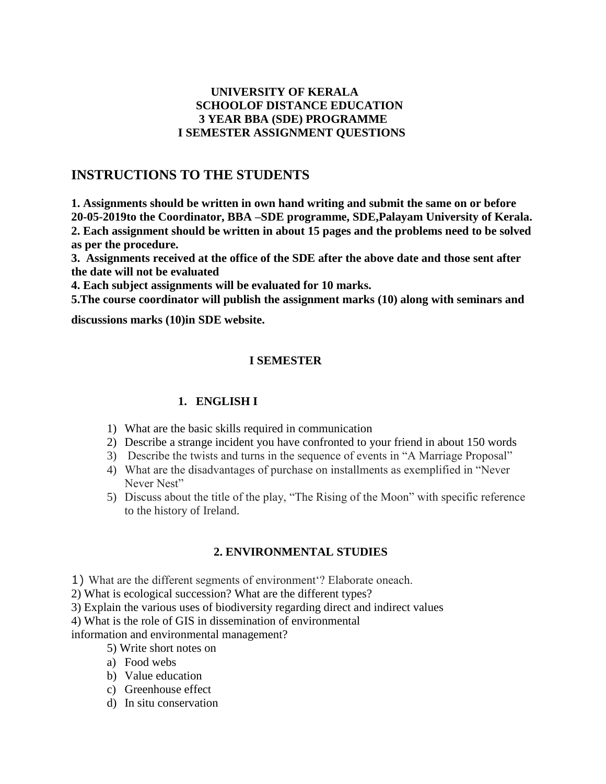### **UNIVERSITY OF KERALA SCHOOLOF DISTANCE EDUCATION 3 YEAR BBA (SDE) PROGRAMME I SEMESTER ASSIGNMENT QUESTIONS**

# **INSTRUCTIONS TO THE STUDENTS**

**1. Assignments should be written in own hand writing and submit the same on or before 20-05-2019to the Coordinator, BBA –SDE programme, SDE,Palayam University of Kerala. 2. Each assignment should be written in about 15 pages and the problems need to be solved as per the procedure.**

**3. Assignments received at the office of the SDE after the above date and those sent after the date will not be evaluated** 

**4. Each subject assignments will be evaluated for 10 marks.**

**5.The course coordinator will publish the assignment marks (10) along with seminars and** 

**discussions marks (10)in SDE website.**

## **I SEMESTER**

### **1. ENGLISH I**

- 1) What are the basic skills required in communication
- 2) Describe a strange incident you have confronted to your friend in about 150 words
- 3) Describe the twists and turns in the sequence of events in "A Marriage Proposal"
- 4) What are the disadvantages of purchase on installments as exemplified in "Never Never Nest"
- 5) Discuss about the title of the play, "The Rising of the Moon" with specific reference to the history of Ireland.

### **2. ENVIRONMENTAL STUDIES**

1) What are the different segments of environment"? Elaborate oneach.

- 2) What is ecological succession? What are the different types?
- 3) Explain the various uses of biodiversity regarding direct and indirect values

4) What is the role of GIS in dissemination of environmental

information and environmental management?

- 5) Write short notes on
- a) Food webs
- b) Value education
- c) Greenhouse effect
- d) In situ conservation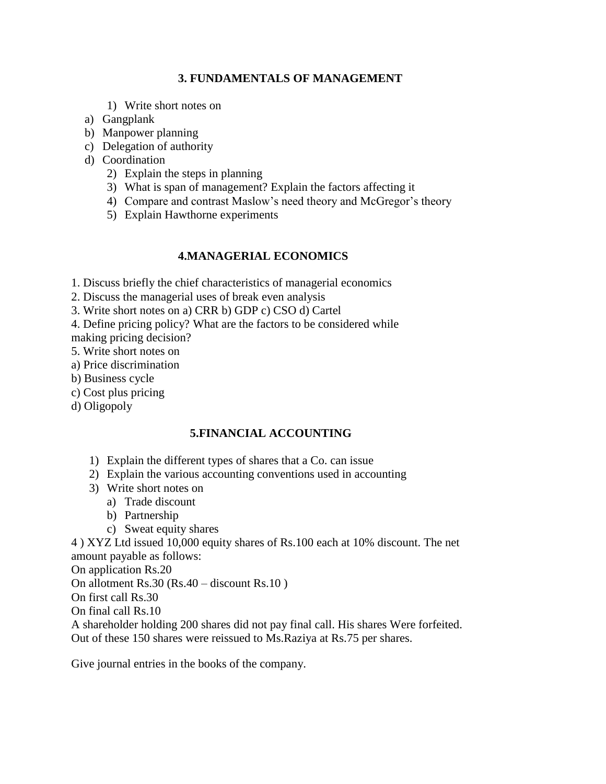### **3. FUNDAMENTALS OF MANAGEMENT**

- 1) Write short notes on
- a) Gangplank
- b) Manpower planning
- c) Delegation of authority
- d) Coordination
	- 2) Explain the steps in planning
	- 3) What is span of management? Explain the factors affecting it
	- 4) Compare and contrast Maslow"s need theory and McGregor"s theory
	- 5) Explain Hawthorne experiments

## **4.MANAGERIAL ECONOMICS**

- 1. Discuss briefly the chief characteristics of managerial economics
- 2. Discuss the managerial uses of break even analysis
- 3. Write short notes on a) CRR b) GDP c) CSO d) Cartel
- 4. Define pricing policy? What are the factors to be considered while making pricing decision?
- 5. Write short notes on
- a) Price discrimination
- b) Business cycle
- c) Cost plus pricing
- d) Oligopoly

## **5.FINANCIAL ACCOUNTING**

- 1) Explain the different types of shares that a Co. can issue
- 2) Explain the various accounting conventions used in accounting
- 3) Write short notes on
	- a) Trade discount
	- b) Partnership
	- c) Sweat equity shares

4 ) XYZ Ltd issued 10,000 equity shares of Rs.100 each at 10% discount. The net amount payable as follows:

On application Rs.20

On allotment Rs.30 (Rs.40 – discount Rs.10 )

On first call Rs.30

On final call Rs.10

A shareholder holding 200 shares did not pay final call. His shares Were forfeited. Out of these 150 shares were reissued to Ms.Raziya at Rs.75 per shares.

Give journal entries in the books of the company.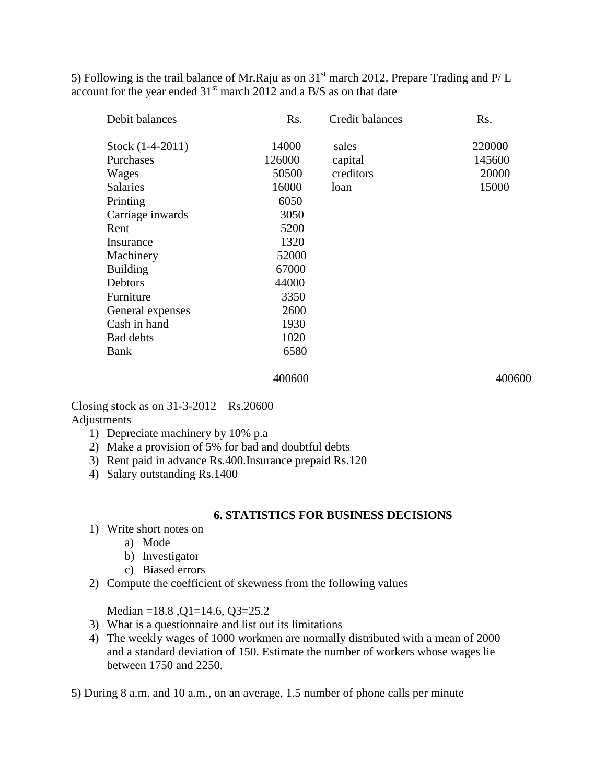5) Following is the trail balance of Mr.Raju as on  $31<sup>st</sup>$  march 2012. Prepare Trading and P/L account for the year ended  $31<sup>st</sup>$  march 2012 and a B/S as on that date

| Rs.    | Credit balances | Rs.    |
|--------|-----------------|--------|
| 14000  | sales           | 220000 |
| 126000 | capital         | 145600 |
| 50500  | creditors       | 20000  |
| 16000  | loan            | 15000  |
| 6050   |                 |        |
| 3050   |                 |        |
| 5200   |                 |        |
| 1320   |                 |        |
| 52000  |                 |        |
| 67000  |                 |        |
| 44000  |                 |        |
| 3350   |                 |        |
| 2600   |                 |        |
| 1930   |                 |        |
| 1020   |                 |        |
| 6580   |                 |        |
|        |                 |        |

#### 400600 400600

Closing stock as on 31-3-2012 Rs.20600 Adjustments

- 1) Depreciate machinery by 10% p.a
- 2) Make a provision of 5% for bad and doubtful debts
- 3) Rent paid in advance Rs.400.Insurance prepaid Rs.120
- 4) Salary outstanding Rs.1400

#### **6. STATISTICS FOR BUSINESS DECISIONS**

- 1) Write short notes on
	- a) Mode
	- b) Investigator
	- c) Biased errors
- 2) Compute the coefficient of skewness from the following values

Median =18.8 ,Q1=14.6, Q3=25.2

- 3) What is a questionnaire and list out its limitations
- 4) The weekly wages of 1000 workmen are normally distributed with a mean of 2000 and a standard deviation of 150. Estimate the number of workers whose wages lie between 1750 and 2250.

5) During 8 a.m. and 10 a.m., on an average, 1.5 number of phone calls per minute